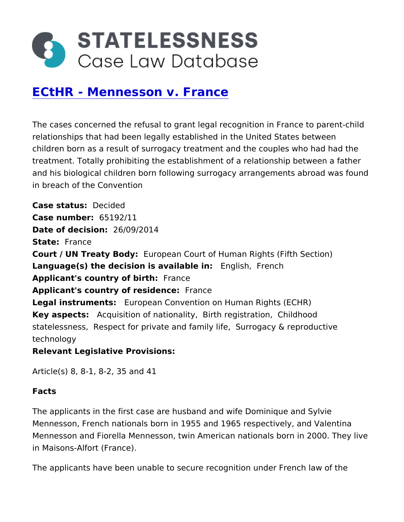# [ECtHR - Mennesson v.](https://caselaw.statelessness.eu/caselaw/ecthr-mennesson-v-france) France

The cases concerned the refusal to grant legal recognition in Fra relationships that had been legally established in the United Stat children born as a result of surrogacy treatment and the couples treatment. Totally prohibiting the establishment of a relationship and his biological children born following surrogacy arrangements in breach of the Convention

Case status ecided  $Case$  number 65192/11 Date of decision  $/0.9/2014$ State France Court / UN Treaty BEdyopean Court of Human Rights (Fifth Section Language(s) the decision is avail  $\delta$  balge light rench Applicant's country of: bFirth ce Applicant's country of residFermanece Legal instrument Esuropean Convention on Human Rights (ECHR) Key aspects Acquisition of nation at thit yegistration dhood statelessne Sespect for private and family difey & reproductive technology Relevant Legislative Provisions

Article(s) 8, 8-1, 8-2, 35 and 41

Facts

The applicants in the first case are husband and wife Dominique and Sylvie Dominique Mennesson, French nationals born in 1955 and 1965 respectively, Mennesson and Fiorella Mennesson, twin American nationals born in Maisons-Alfort (France).

The applicants have been unable to secure recognition under Frei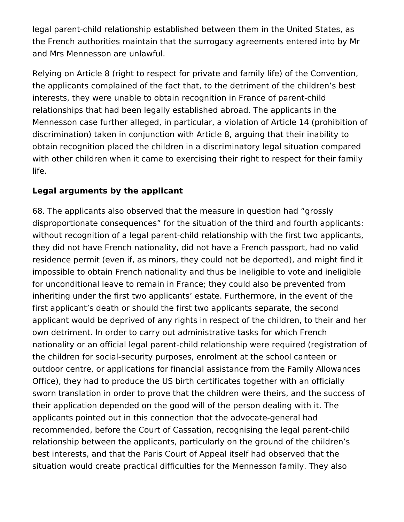legal parent-child relationship established between them in the United States, as the French authorities maintain that the surrogacy agreements entered into by Mr and Mrs Mennesson are unlawful.

Relying on Article 8 (right to respect for private and family life) of the Convention, the applicants complained of the fact that, to the detriment of the children's best interests, they were unable to obtain recognition in France of parent-child relationships that had been legally established abroad. The applicants in the Mennesson case further alleged, in particular, a violation of Article 14 (prohibition of discrimination) taken in conjunction with Article 8, arguing that their inability to obtain recognition placed the children in a discriminatory legal situation compared with other children when it came to exercising their right to respect for their family life.

## **Legal arguments by the applicant**

68. The applicants also observed that the measure in question had "grossly disproportionate consequences" for the situation of the third and fourth applicants: without recognition of a legal parent-child relationship with the first two applicants, they did not have French nationality, did not have a French passport, had no valid residence permit (even if, as minors, they could not be deported), and might find it impossible to obtain French nationality and thus be ineligible to vote and ineligible for unconditional leave to remain in France; they could also be prevented from inheriting under the first two applicants' estate. Furthermore, in the event of the first applicant's death or should the first two applicants separate, the second applicant would be deprived of any rights in respect of the children, to their and her own detriment. In order to carry out administrative tasks for which French nationality or an official legal parent-child relationship were required (registration of the children for social-security purposes, enrolment at the school canteen or outdoor centre, or applications for financial assistance from the Family Allowances Office), they had to produce the US birth certificates together with an officially sworn translation in order to prove that the children were theirs, and the success of their application depended on the good will of the person dealing with it. The applicants pointed out in this connection that the advocate-general had recommended, before the Court of Cassation, recognising the legal parent-child relationship between the applicants, particularly on the ground of the children's best interests, and that the Paris Court of Appeal itself had observed that the situation would create practical difficulties for the Mennesson family. They also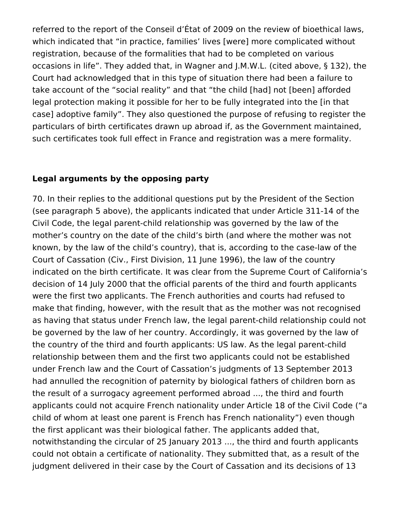referred to the report of the Conseil d'État of 2009 on the review of bioethical laws, which indicated that "in practice, families' lives [were] more complicated without registration, because of the formalities that had to be completed on various occasions in life". They added that, in Wagner and J.M.W.L. (cited above, § 132), the Court had acknowledged that in this type of situation there had been a failure to take account of the "social reality" and that "the child [had] not [been] afforded legal protection making it possible for her to be fully integrated into the [in that case] adoptive family". They also questioned the purpose of refusing to register the particulars of birth certificates drawn up abroad if, as the Government maintained, such certificates took full effect in France and registration was a mere formality.

#### **Legal arguments by the opposing party**

70. In their replies to the additional questions put by the President of the Section (see paragraph 5 above), the applicants indicated that under Article 311-14 of the Civil Code, the legal parent-child relationship was governed by the law of the mother's country on the date of the child's birth (and where the mother was not known, by the law of the child's country), that is, according to the case-law of the Court of Cassation (Civ., First Division, 11 June 1996), the law of the country indicated on the birth certificate. It was clear from the Supreme Court of California's decision of 14 July 2000 that the official parents of the third and fourth applicants were the first two applicants. The French authorities and courts had refused to make that finding, however, with the result that as the mother was not recognised as having that status under French law, the legal parent-child relationship could not be governed by the law of her country. Accordingly, it was governed by the law of the country of the third and fourth applicants: US law. As the legal parent-child relationship between them and the first two applicants could not be established under French law and the Court of Cassation's judgments of 13 September 2013 had annulled the recognition of paternity by biological fathers of children born as the result of a surrogacy agreement performed abroad ..., the third and fourth applicants could not acquire French nationality under Article 18 of the Civil Code ("a child of whom at least one parent is French has French nationality") even though the first applicant was their biological father. The applicants added that, notwithstanding the circular of 25 January 2013 ..., the third and fourth applicants could not obtain a certificate of nationality. They submitted that, as a result of the judgment delivered in their case by the Court of Cassation and its decisions of 13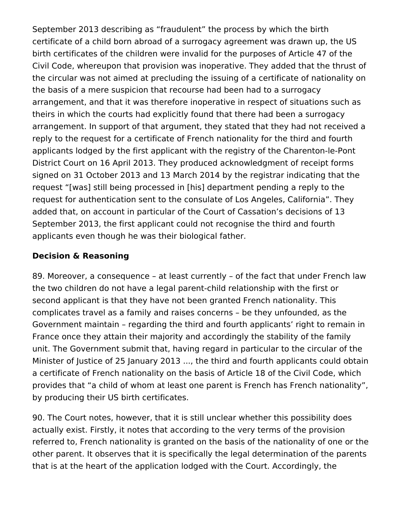September 2013 describing as "fraudulent" the process by which the birth certificate of a child born abroad of a surrogacy agreement was drawn up, the US birth certificates of the children were invalid for the purposes of Article 47 of the Civil Code, whereupon that provision was inoperative. They added that the thrust of the circular was not aimed at precluding the issuing of a certificate of nationality on the basis of a mere suspicion that recourse had been had to a surrogacy arrangement, and that it was therefore inoperative in respect of situations such as theirs in which the courts had explicitly found that there had been a surrogacy arrangement. In support of that argument, they stated that they had not received a reply to the request for a certificate of French nationality for the third and fourth applicants lodged by the first applicant with the registry of the Charenton-le-Pont District Court on 16 April 2013. They produced acknowledgment of receipt forms signed on 31 October 2013 and 13 March 2014 by the registrar indicating that the request "[was] still being processed in [his] department pending a reply to the request for authentication sent to the consulate of Los Angeles, California". They added that, on account in particular of the Court of Cassation's decisions of 13 September 2013, the first applicant could not recognise the third and fourth applicants even though he was their biological father.

### **Decision & Reasoning**

89. Moreover, a consequence – at least currently – of the fact that under French law the two children do not have a legal parent-child relationship with the first or second applicant is that they have not been granted French nationality. This complicates travel as a family and raises concerns – be they unfounded, as the Government maintain – regarding the third and fourth applicants' right to remain in France once they attain their majority and accordingly the stability of the family unit. The Government submit that, having regard in particular to the circular of the Minister of Justice of 25 January 2013 ..., the third and fourth applicants could obtain a certificate of French nationality on the basis of Article 18 of the Civil Code, which provides that "a child of whom at least one parent is French has French nationality", by producing their US birth certificates.

90. The Court notes, however, that it is still unclear whether this possibility does actually exist. Firstly, it notes that according to the very terms of the provision referred to, French nationality is granted on the basis of the nationality of one or the other parent. It observes that it is specifically the legal determination of the parents that is at the heart of the application lodged with the Court. Accordingly, the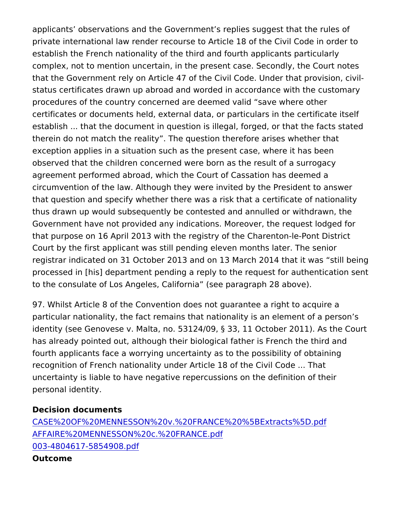applicants observations and the Government s replies suggest th private international law render recourse to Article 18 of the Civi establish the French nationality of the third and fourth applicants complex, not to mention uncertain, in the present case. Secondly, that the Government rely on Article 47 of the Civil Code. Under th status certificates drawn up abroad and worded in accordance wit procedures of the country concerned are deemed valid save wher certificates or documents held, external data, or particulars in th establish ... that the document in question is illegal, forged, or t therein do not match the reality. The question therefore arises w exception applies in a situation such as the present case, where observed that the children concerned were born as the result of a agreement performed abroad, which the Court of Cassation has de circumvention of the law. Although they were invited by the Presi that question and specify whether there was a risk that a certificate thus drawn up would subsequently be contested and annulled or w Government have not provided any indications. Moreover, the req that purpose on 16 April 2013 with the registry of the Charenton-Court by the first applicant was still pending eleven months later registrar indicated on 31 October 2013 and on 13 March 2014 that processed in [his] department pending a reply to the request for a to the consulate of Los Angeles, California (see paragraph 28 ab

97. Whilst Article 8 of the Convention does not quarantee a right particular nationality, the fact remains that nationality is an elem identity (see Genovese v. Malta, no. 53124/09, § 33, 11 October 2 has already pointed out, although their biological father is French fourth applicants face a worrying uncertainty as to the possibility recognition of French nationality under Article 18 of the Civil Cod uncertainty is liable to have negative repercussions on the defini personal identity.

Decision documents [CASE%20OF%20MENNESSON%20v.%20FRANCE%20%](https://caselaw.statelessness.eu/sites/default/files/decisions/CASE%20OF%20MENNESSON%20v.%20FRANCE%20%5BExtracts%5D.pdf)5BExtracts%5 [AFFAIRE%20MENNESSON%20c.%2](https://caselaw.statelessness.eu/sites/default/files/decisions/AFFAIRE%20MENNESSON%20c.%20FRANCE.pdf)0FRANCE.pdf [003-4804617-58549](https://caselaw.statelessness.eu/sites/default/files/decisions/003-4804617-5854908.pdf)08.pdf Outcome